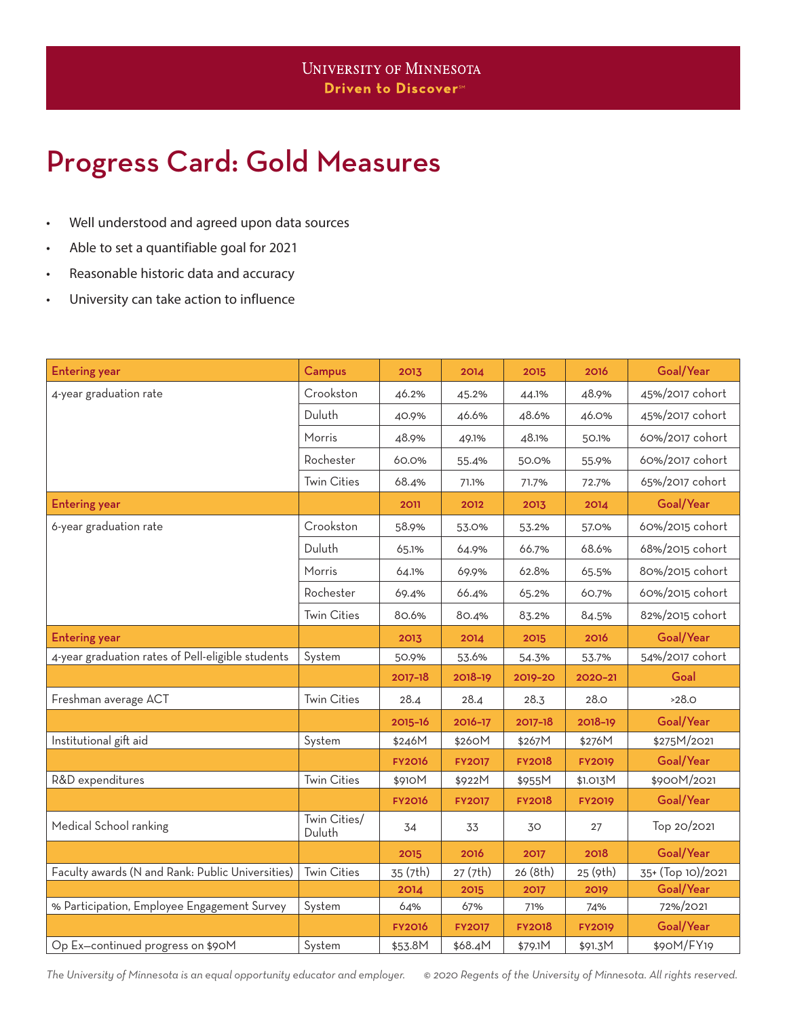## Progress Card: Gold Measures

- Well understood and agreed upon data sources
- Able to set a quantifiable goal for 2021
- Reasonable historic data and accuracy
- University can take action to influence

| <b>Entering year</b>                              | Campus                               | 2013          | 2014          | 2015          | 2016          | Goal/Year         |
|---------------------------------------------------|--------------------------------------|---------------|---------------|---------------|---------------|-------------------|
| 4-year graduation rate                            | Crookston                            | 46.2%         | 45.2%         | 44.1%         | 48.9%         | 45%/2017 cohort   |
|                                                   | Duluth                               | 40.9%         | 46.6%         | 48.6%         | 46.0%         | 45%/2017 cohort   |
|                                                   | Morris                               | 48.9%         | 49.1%         | 48.1%         | 50.1%         | 60%/2017 cohort   |
|                                                   | Rochester                            | 60.0%         | 55.4%         | 50.0%         | 55.9%         | 60%/2017 cohort   |
|                                                   | <b>Twin Cities</b>                   | 68.4%         | 71.1%         | 71.7%         | 72.7%         | 65%/2017 cohort   |
| <b>Entering year</b>                              |                                      | 2011          | 2012          | 2013          | 2014          | Goal/Year         |
| 6-year graduation rate                            | Crookston                            | 58.9%         | 53.0%         | 53.2%         | 57.0%         | 60%/2015 cohort   |
|                                                   | Duluth                               | 65.1%         | 64.9%         | 66.7%         | 68.6%         | 68%/2015 cohort   |
|                                                   | Morris                               | 64.1%         | 69.9%         | 62.8%         | 65.5%         | 80%/2015 cohort   |
|                                                   | Rochester                            | 69.4%         | 66.4%         | 65.2%         | 60.7%         | 60%/2015 cohort   |
|                                                   | <b>Twin Cities</b>                   | 80.6%         | 80.4%         | 83.2%         | 84.5%         | 82%/2015 cohort   |
| <b>Entering year</b>                              |                                      | 2013          | 2014          | 2015          | 2016          | Goal/Year         |
| 4-year graduation rates of Pell-eligible students | System                               | 50.9%         | 53.6%         | 54.3%         | 53.7%         | 54%/2017 cohort   |
|                                                   |                                      | 2017-18       | 2018-19       | 2019-20       | 2020-21       | Goal              |
| Freshman average ACT                              | <b>Twin Cities</b>                   | 28.4          | 28.4          | 28.3          | 28.0          | >28.0             |
|                                                   |                                      | 2015-16       | 2016-17       | 2017-18       | 2018-19       | Goal/Year         |
| Institutional gift aid                            | System                               | \$246M        | \$260M        | \$267M        | \$276M        | \$275M/2021       |
|                                                   |                                      | <b>FY2016</b> | <b>FY2017</b> | <b>FY2018</b> | <b>FY2019</b> | Goal/Year         |
| R&D expenditures                                  | <b>Twin Cities</b>                   | \$910M        | \$922M        | \$955M        | \$1.013M      | \$900M/2021       |
|                                                   |                                      | <b>FY2016</b> | <b>FY2017</b> | <b>FY2018</b> | <b>FY2019</b> | Goal/Year         |
| Medical School ranking                            | $\overline{T}$ win Cities/<br>Duluth | 34            | 33            | 30            | 27            | Top 20/2021       |
|                                                   |                                      | 2015          | 2016          | 2017          | 2018          | Goal/Year         |
| Faculty awards (N and Rank: Public Universities)  | <b>Twin Cities</b>                   | 35 (7th)      | 27 (7th)      | 26 (8th)      | 25 (9th)      | 35+ (Top 10)/2021 |
|                                                   |                                      | 2014          | 2015          | 2017          | 2019          | Goal/Year         |
| % Participation, Employee Engagement Survey       | System                               | 64%           | 67%           | 71%           | 74%           | 72%/2021          |
|                                                   |                                      | <b>FY2016</b> | <b>FY2017</b> | <b>FY2018</b> | <b>FY2019</b> | Goal/Year         |
| Op Ex-continued progress on \$90M                 | System                               | \$53.8M       | \$68.4M       | \$79.1M       | \$91.3M       | \$90M/FY19        |

*The University of Minnesota is an equal opportunity educator and employer. © 2020 Regents of the University of Minnesota. All rights reserved.*